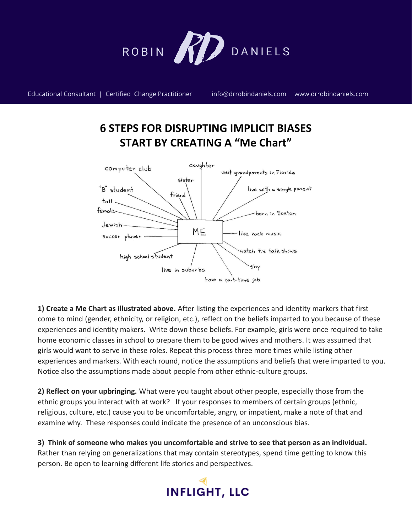

Educational Consultant | Certified Change Practitioner

info@drrobindaniels.com www.drrobindaniels.com

## **6 STEPS FOR DISRUPTING IMPLICIT BIASES START BY CREATING A "Me Chart"**



**1) Create a Me Chart as illustrated above.** After listing the experiences and identity markers that first come to mind (gender, ethnicity, or religion, etc.), reflect on the beliefs imparted to you because of these experiences and identity makers. Write down these beliefs. For example, girls were once required to take home economic classes in school to prepare them to be good wives and mothers. It was assumed that girls would want to serve in these roles. Repeat this process three more times while listing other experiences and markers. With each round, notice the assumptions and beliefs that were imparted to you. Notice also the assumptions made about people from other ethnic-culture groups.

**2) Reflect on your upbringing.** What were you taught about other people, especially those from the ethnic groups you interact with at work?If your responses to members of certain groups (ethnic, religious, culture, etc.) cause you to be uncomfortable, angry, or impatient, make a note of that and examine why. These responses could indicate the presence of an unconscious bias.

**3) Think of someone who makes you uncomfortable and strive to see that person as an individual.** Rather than relying on generalizations that may contain stereotypes, spend time getting to know this person. Be open to learning different life stories and perspectives.